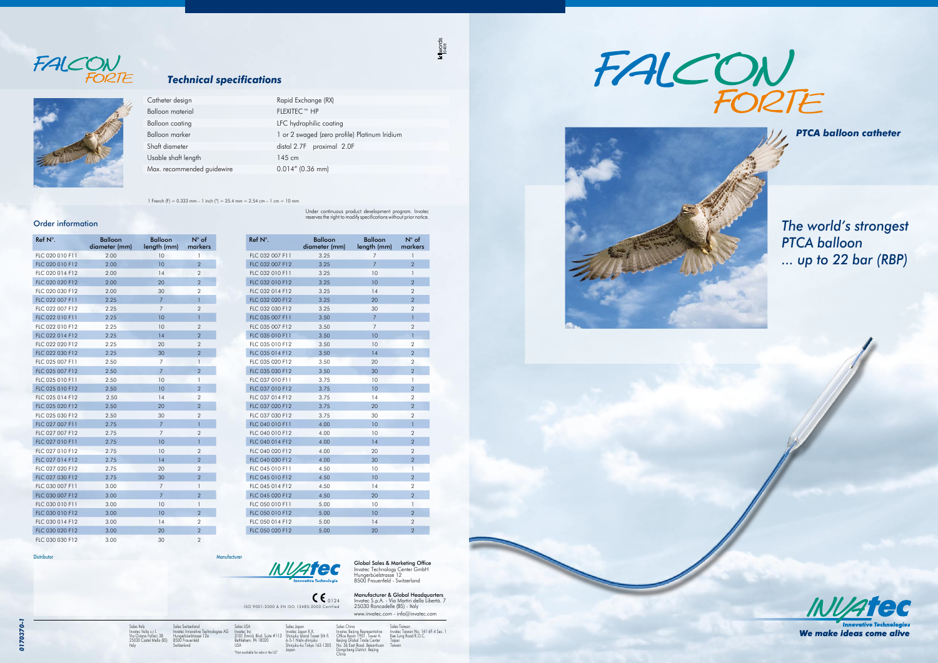*0170370-1* 0170370 Global Sales & Marketing Office Invatec Technology Center GmbH Hungerbüelstrasse 12 8500 Frauenfeld - Switzerland

ISO 9001:2000 & EN ISO 13485:2003 Certified 0124 **Manufacturer & Global Headquarters**<br>Invatec S.p.A. - Via Martiri della Libertà. 7<br>25030 Roncadelle (BS) - Italy www.invatec.com - info@invatec.com

Sales USA Invatec Inc 3101 Emrick Blvd. Suite #113 Bethlehem. PA 18020 USA "Not available for sale in the US" Sales Japan<br>Invatec Japan K.K.<br>Shinjuku Island Tower 5th fl.<br>6-5-1 Nishi-shinjuku<br>Shinjuku-ku Tokyo 163-1305<br>Japan

*INVATEC* 

Sales Italy Invatec Italia s.r.l. Via Oriana Fallaci 38 25030 Castel Mella (BS) Italy

Sales Taiwan Invatec Taiwan No. 141 6F-4 Sec. 1 Kee Lung Road R.O.C. Taipei **Taiwan** 





Sales Switzerland Hungerbüelstrasse 12a 8500 Frauenfeld Switzerland

Sales China Invatec Beijing Representative Office Room 1901. Tower A. Beijing Global Trade Center No. 36 East Road. Beisanhuan Dongcheng District. Beijing China

Distributor Manufacturer

qies AG

1 French (F) = 0.333 mm – 1 inch (") = 25.4 mm = 2.54 cm – 1 cm = 10 mm



#### *Technical specifications*

Under continuous product development program. Invatec reserves the right to modify specifications without prior notice.

 $k$ <sub>0409</sub><br> $0409$ 

 *PTCA balloon catheter*

## *The world's strongest PTCA balloon ... up to 22 bar (RBP)*



We make ideas come alive

| Catheter design            | Rapid Exchange (RX)                           |
|----------------------------|-----------------------------------------------|
| Balloon material           | <b>FLEXITEC™ HP</b>                           |
| Balloon coating            | LFC hydrophilic coating                       |
| Balloon marker             | 1 or 2 swaged (zero profile) Platinum Iridium |
| Shaft diameter             | distal 2.7F proximal 2.0F                     |
| Usable shaft length        | 145 cm                                        |
| Max. recommended guidewire | $0.014''$ (0.36 mm)                           |

#### Order information

| $Ref N^\circ$ . | <b>Balloon</b><br>diameter (mm) | <b>Balloon</b><br>length (mm) | $N^{\circ}$ of<br>markers |
|-----------------|---------------------------------|-------------------------------|---------------------------|
| FLC 020 010 F11 | 2.00                            | 10                            | 1                         |
| FLC 020 010 F12 | 2.00                            | 10                            | $\overline{2}$            |
| FLC 020 014 F12 | 2.00                            | 14                            | $\overline{2}$            |
| FLC 020 020 F12 | 2.00                            | 20                            | $\overline{2}$            |
| FLC 020 030 F12 | 2.00                            | 30                            | 2                         |
| FLC 022 007 F11 | 2.25                            | $\overline{7}$                | $\mathbf{1}$              |
| FLC 022 007 F12 | 2.25                            | 7                             | $\overline{2}$            |
| FLC 022 010 F11 | 2.25                            | 10                            | $\mathbf{1}$              |
| FLC 022 010 F12 | 2.25                            | 10                            | $\overline{2}$            |
| FLC 022 014 F12 | 2.25                            | 14                            | $\overline{2}$            |
| FLC 022 020 F12 | 2.25                            | 20                            | $\overline{2}$            |
| FLC 022 030 F12 | 2.25                            | 30                            | $\overline{2}$            |
| FLC 025 007 F11 | 2.50                            | 7                             | $\mathbf{1}$              |
| FLC 025 007 F12 | 2.50                            | $\overline{7}$                | $\overline{2}$            |
| FLC 025 010 F11 | 2.50                            | 10                            | $\mathsf{I}$              |
| FLC 025 010 F12 | 2.50                            | 10                            | $\overline{2}$            |
| FLC 025 014 F12 | 2.50                            | 14                            | 2                         |
| FLC 025 020 F12 | 2.50                            | 20                            | $\overline{2}$            |
| FLC 025 030 F12 | 2.50                            | 30                            | $\overline{2}$            |
| FLC 027 007 F11 | 2.75                            | $\overline{7}$                | $\mathbf{1}$              |
| FLC 027 007 F12 | 2.75                            | 7                             | $\overline{2}$            |
| FLC 027 010 F11 | 2.75                            | 10                            | 1                         |
| FLC 027 010 F12 | 2.75                            | 10                            | $\overline{2}$            |
| FLC 027 014 F12 | 2.75                            | 14                            | $\overline{2}$            |
| FLC 027 020 F12 | 2.75                            | 20                            | $\overline{2}$            |
| FLC 027 030 F12 | 2.75                            | 30                            | $\overline{2}$            |
| FLC 030 007 F11 | 3.00                            | 7                             | 1                         |
| FLC 030 007 F12 | 3.00                            | $\overline{7}$                | $\overline{2}$            |
| FLC 030 010 F11 | 3.00                            | 10                            | $\mathbf{1}$              |
| FLC 030 010 F12 | 3.00                            | 10                            | $\overline{2}$            |
| FLC 030 014 F12 | 3.00                            | 14                            | $\overline{2}$            |
| FLC 030 020 F12 | 3.00                            | 20                            | $\overline{2}$            |
| FLC 030 030 F12 | 3.00                            | 30                            | 2                         |

| FLC 032 007 F11<br>3.25<br>7<br>1<br>FLC 032 007 F12<br>3.25<br>7<br>$\overline{2}$<br>$\overline{1}$<br>FLC 032 010 F11<br>3.25<br>10<br>FLC 032 010 F12<br>$\overline{2}$<br>3.25<br>10<br>$\overline{2}$<br>FLC 032 014 F12<br>3.25<br>14<br>$\overline{2}$<br>FLC 032 020 F12<br>3.25<br>20<br>$\overline{2}$<br>FLC 032 030 F12<br>3.25<br>30<br>FLC 035 007 F11<br>$\overline{7}$<br>1<br>3.50<br>FLC 035 007 F12<br>$\overline{7}$<br>$\overline{2}$<br>3.50<br>FLC 035 010 F11<br>3.50<br>10<br>$\mathbf{1}$<br>$\overline{2}$<br>FLC 035 010 F12<br>3.50<br>10<br>$\overline{2}$<br>FLC 035 014 F12<br>3.50<br>14<br>$\overline{2}$<br>FLC 035 020 F12<br>3.50<br>20<br>$\overline{2}$<br>FLC 035 030 F12<br>3.50<br>30<br>FLC 037 010 F11<br>3.75<br>10<br>1<br>FLC 037 010 F12<br>3.75<br>10<br>$\overline{2}$<br>FLC 037 014 F12<br>14<br>$\overline{2}$<br>3.75<br>$\overline{2}$<br>FLC 037 020 F12<br>3.75<br>20<br>FLC 037 030 F12<br>30<br>$\overline{2}$<br>3.75<br>FLC 040 010 F11<br>4.00<br>10<br>1<br>10<br>$\overline{2}$<br>FLC 040 010 F12<br>4.00<br>FLC 040 014 F12<br>4.00<br>14<br>$\overline{2}$<br>FLC 040 020 F12<br>20<br>$\overline{2}$<br>4.00<br>$\overline{2}$<br>FLC 040 030 F12<br>4.00<br>30<br>FLC 045 010 F11<br>1<br>4.50<br>10<br>FLC 045 010 F12<br>4.50<br>$\overline{2}$<br>10<br>FLC 045 014 F12<br>4.50<br>14<br>$\overline{2}$<br>FLC 045 020 F12<br>$\overline{2}$<br>4.50<br>20<br>FLC 050 010 F11<br>5.00<br>10<br>1<br>FLC 050 010 F12<br>10<br>$\overline{2}$<br>5.00 | Ref N°. | Balloon<br>diameter (mm) | <b>Balloon</b><br>length (mm) | $N^{\circ}$ of<br>markers |
|------------------------------------------------------------------------------------------------------------------------------------------------------------------------------------------------------------------------------------------------------------------------------------------------------------------------------------------------------------------------------------------------------------------------------------------------------------------------------------------------------------------------------------------------------------------------------------------------------------------------------------------------------------------------------------------------------------------------------------------------------------------------------------------------------------------------------------------------------------------------------------------------------------------------------------------------------------------------------------------------------------------------------------------------------------------------------------------------------------------------------------------------------------------------------------------------------------------------------------------------------------------------------------------------------------------------------------------------------------------------------------------------------------------------------------------------------------------------------------------------------------------------------|---------|--------------------------|-------------------------------|---------------------------|
|                                                                                                                                                                                                                                                                                                                                                                                                                                                                                                                                                                                                                                                                                                                                                                                                                                                                                                                                                                                                                                                                                                                                                                                                                                                                                                                                                                                                                                                                                                                              |         |                          |                               |                           |
|                                                                                                                                                                                                                                                                                                                                                                                                                                                                                                                                                                                                                                                                                                                                                                                                                                                                                                                                                                                                                                                                                                                                                                                                                                                                                                                                                                                                                                                                                                                              |         |                          |                               |                           |
|                                                                                                                                                                                                                                                                                                                                                                                                                                                                                                                                                                                                                                                                                                                                                                                                                                                                                                                                                                                                                                                                                                                                                                                                                                                                                                                                                                                                                                                                                                                              |         |                          |                               |                           |
|                                                                                                                                                                                                                                                                                                                                                                                                                                                                                                                                                                                                                                                                                                                                                                                                                                                                                                                                                                                                                                                                                                                                                                                                                                                                                                                                                                                                                                                                                                                              |         |                          |                               |                           |
|                                                                                                                                                                                                                                                                                                                                                                                                                                                                                                                                                                                                                                                                                                                                                                                                                                                                                                                                                                                                                                                                                                                                                                                                                                                                                                                                                                                                                                                                                                                              |         |                          |                               |                           |
|                                                                                                                                                                                                                                                                                                                                                                                                                                                                                                                                                                                                                                                                                                                                                                                                                                                                                                                                                                                                                                                                                                                                                                                                                                                                                                                                                                                                                                                                                                                              |         |                          |                               |                           |
|                                                                                                                                                                                                                                                                                                                                                                                                                                                                                                                                                                                                                                                                                                                                                                                                                                                                                                                                                                                                                                                                                                                                                                                                                                                                                                                                                                                                                                                                                                                              |         |                          |                               |                           |
|                                                                                                                                                                                                                                                                                                                                                                                                                                                                                                                                                                                                                                                                                                                                                                                                                                                                                                                                                                                                                                                                                                                                                                                                                                                                                                                                                                                                                                                                                                                              |         |                          |                               |                           |
|                                                                                                                                                                                                                                                                                                                                                                                                                                                                                                                                                                                                                                                                                                                                                                                                                                                                                                                                                                                                                                                                                                                                                                                                                                                                                                                                                                                                                                                                                                                              |         |                          |                               |                           |
|                                                                                                                                                                                                                                                                                                                                                                                                                                                                                                                                                                                                                                                                                                                                                                                                                                                                                                                                                                                                                                                                                                                                                                                                                                                                                                                                                                                                                                                                                                                              |         |                          |                               |                           |
|                                                                                                                                                                                                                                                                                                                                                                                                                                                                                                                                                                                                                                                                                                                                                                                                                                                                                                                                                                                                                                                                                                                                                                                                                                                                                                                                                                                                                                                                                                                              |         |                          |                               |                           |
|                                                                                                                                                                                                                                                                                                                                                                                                                                                                                                                                                                                                                                                                                                                                                                                                                                                                                                                                                                                                                                                                                                                                                                                                                                                                                                                                                                                                                                                                                                                              |         |                          |                               |                           |
|                                                                                                                                                                                                                                                                                                                                                                                                                                                                                                                                                                                                                                                                                                                                                                                                                                                                                                                                                                                                                                                                                                                                                                                                                                                                                                                                                                                                                                                                                                                              |         |                          |                               |                           |
|                                                                                                                                                                                                                                                                                                                                                                                                                                                                                                                                                                                                                                                                                                                                                                                                                                                                                                                                                                                                                                                                                                                                                                                                                                                                                                                                                                                                                                                                                                                              |         |                          |                               |                           |
|                                                                                                                                                                                                                                                                                                                                                                                                                                                                                                                                                                                                                                                                                                                                                                                                                                                                                                                                                                                                                                                                                                                                                                                                                                                                                                                                                                                                                                                                                                                              |         |                          |                               |                           |
|                                                                                                                                                                                                                                                                                                                                                                                                                                                                                                                                                                                                                                                                                                                                                                                                                                                                                                                                                                                                                                                                                                                                                                                                                                                                                                                                                                                                                                                                                                                              |         |                          |                               |                           |
|                                                                                                                                                                                                                                                                                                                                                                                                                                                                                                                                                                                                                                                                                                                                                                                                                                                                                                                                                                                                                                                                                                                                                                                                                                                                                                                                                                                                                                                                                                                              |         |                          |                               |                           |
|                                                                                                                                                                                                                                                                                                                                                                                                                                                                                                                                                                                                                                                                                                                                                                                                                                                                                                                                                                                                                                                                                                                                                                                                                                                                                                                                                                                                                                                                                                                              |         |                          |                               |                           |
|                                                                                                                                                                                                                                                                                                                                                                                                                                                                                                                                                                                                                                                                                                                                                                                                                                                                                                                                                                                                                                                                                                                                                                                                                                                                                                                                                                                                                                                                                                                              |         |                          |                               |                           |
|                                                                                                                                                                                                                                                                                                                                                                                                                                                                                                                                                                                                                                                                                                                                                                                                                                                                                                                                                                                                                                                                                                                                                                                                                                                                                                                                                                                                                                                                                                                              |         |                          |                               |                           |
|                                                                                                                                                                                                                                                                                                                                                                                                                                                                                                                                                                                                                                                                                                                                                                                                                                                                                                                                                                                                                                                                                                                                                                                                                                                                                                                                                                                                                                                                                                                              |         |                          |                               |                           |
|                                                                                                                                                                                                                                                                                                                                                                                                                                                                                                                                                                                                                                                                                                                                                                                                                                                                                                                                                                                                                                                                                                                                                                                                                                                                                                                                                                                                                                                                                                                              |         |                          |                               |                           |
|                                                                                                                                                                                                                                                                                                                                                                                                                                                                                                                                                                                                                                                                                                                                                                                                                                                                                                                                                                                                                                                                                                                                                                                                                                                                                                                                                                                                                                                                                                                              |         |                          |                               |                           |
|                                                                                                                                                                                                                                                                                                                                                                                                                                                                                                                                                                                                                                                                                                                                                                                                                                                                                                                                                                                                                                                                                                                                                                                                                                                                                                                                                                                                                                                                                                                              |         |                          |                               |                           |
|                                                                                                                                                                                                                                                                                                                                                                                                                                                                                                                                                                                                                                                                                                                                                                                                                                                                                                                                                                                                                                                                                                                                                                                                                                                                                                                                                                                                                                                                                                                              |         |                          |                               |                           |
|                                                                                                                                                                                                                                                                                                                                                                                                                                                                                                                                                                                                                                                                                                                                                                                                                                                                                                                                                                                                                                                                                                                                                                                                                                                                                                                                                                                                                                                                                                                              |         |                          |                               |                           |
|                                                                                                                                                                                                                                                                                                                                                                                                                                                                                                                                                                                                                                                                                                                                                                                                                                                                                                                                                                                                                                                                                                                                                                                                                                                                                                                                                                                                                                                                                                                              |         |                          |                               |                           |
|                                                                                                                                                                                                                                                                                                                                                                                                                                                                                                                                                                                                                                                                                                                                                                                                                                                                                                                                                                                                                                                                                                                                                                                                                                                                                                                                                                                                                                                                                                                              |         |                          |                               |                           |
|                                                                                                                                                                                                                                                                                                                                                                                                                                                                                                                                                                                                                                                                                                                                                                                                                                                                                                                                                                                                                                                                                                                                                                                                                                                                                                                                                                                                                                                                                                                              |         |                          |                               |                           |
|                                                                                                                                                                                                                                                                                                                                                                                                                                                                                                                                                                                                                                                                                                                                                                                                                                                                                                                                                                                                                                                                                                                                                                                                                                                                                                                                                                                                                                                                                                                              |         |                          |                               |                           |
| FLC 050 014 F12<br>$\overline{2}$<br>5.00<br>14                                                                                                                                                                                                                                                                                                                                                                                                                                                                                                                                                                                                                                                                                                                                                                                                                                                                                                                                                                                                                                                                                                                                                                                                                                                                                                                                                                                                                                                                              |         |                          |                               |                           |
| $\mathcal{P}$<br>FLC 050 020 F12<br>5.00<br>20                                                                                                                                                                                                                                                                                                                                                                                                                                                                                                                                                                                                                                                                                                                                                                                                                                                                                                                                                                                                                                                                                                                                                                                                                                                                                                                                                                                                                                                                               |         |                          |                               |                           |